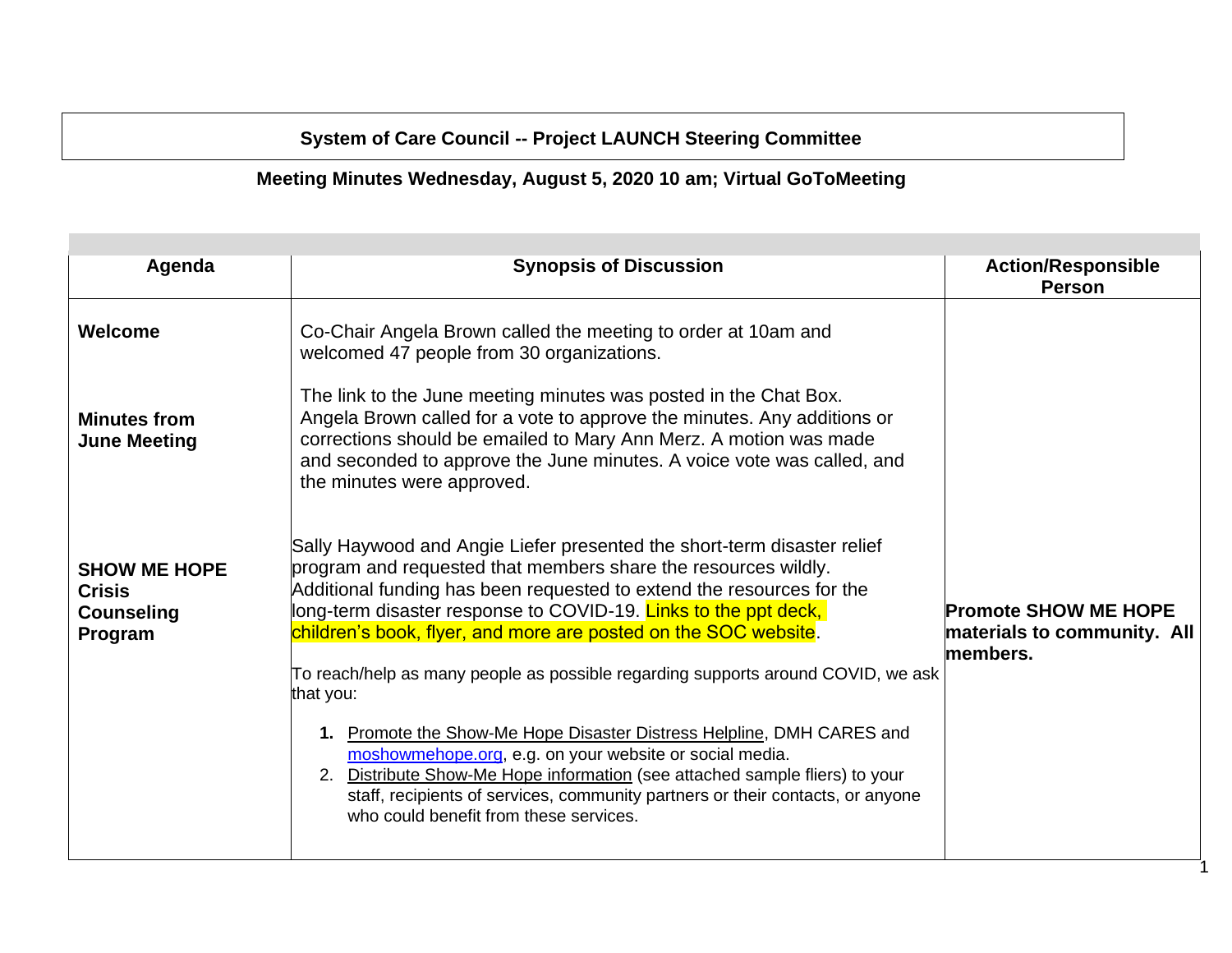## **System of Care Council -- Project LAUNCH Steering Committee**

## **Meeting Minutes Wednesday, August 5, 2020 10 am; Virtual GoToMeeting**

| Agenda                                                               | <b>Synopsis of Discussion</b>                                                                                                                                                                                                                                                                                                                                                                                                                                                                                                                                                                                                                                                                                                                                                                            | <b>Action/Responsible</b><br><b>Person</b>                             |
|----------------------------------------------------------------------|----------------------------------------------------------------------------------------------------------------------------------------------------------------------------------------------------------------------------------------------------------------------------------------------------------------------------------------------------------------------------------------------------------------------------------------------------------------------------------------------------------------------------------------------------------------------------------------------------------------------------------------------------------------------------------------------------------------------------------------------------------------------------------------------------------|------------------------------------------------------------------------|
| Welcome                                                              | Co-Chair Angela Brown called the meeting to order at 10am and<br>welcomed 47 people from 30 organizations.                                                                                                                                                                                                                                                                                                                                                                                                                                                                                                                                                                                                                                                                                               |                                                                        |
| <b>Minutes from</b><br><b>June Meeting</b>                           | The link to the June meeting minutes was posted in the Chat Box.<br>Angela Brown called for a vote to approve the minutes. Any additions or<br>corrections should be emailed to Mary Ann Merz. A motion was made<br>and seconded to approve the June minutes. A voice vote was called, and<br>the minutes were approved.                                                                                                                                                                                                                                                                                                                                                                                                                                                                                 |                                                                        |
| <b>SHOW ME HOPE</b><br><b>Crisis</b><br><b>Counseling</b><br>Program | Sally Haywood and Angie Liefer presented the short-term disaster relief<br>program and requested that members share the resources wildly.<br>Additional funding has been requested to extend the resources for the<br>long-term disaster response to COVID-19. Links to the ppt deck,<br>children's book, flyer, and more are posted on the SOC website.<br>To reach/help as many people as possible regarding supports around COVID, we ask<br>that you:<br>1. Promote the Show-Me Hope Disaster Distress Helpline, DMH CARES and<br>moshowmehope.org, e.g. on your website or social media.<br>2. Distribute Show-Me Hope information (see attached sample fliers) to your<br>staff, recipients of services, community partners or their contacts, or anyone<br>who could benefit from these services. | <b>Promote SHOW ME HOPE</b><br>materials to community. All<br>members. |

1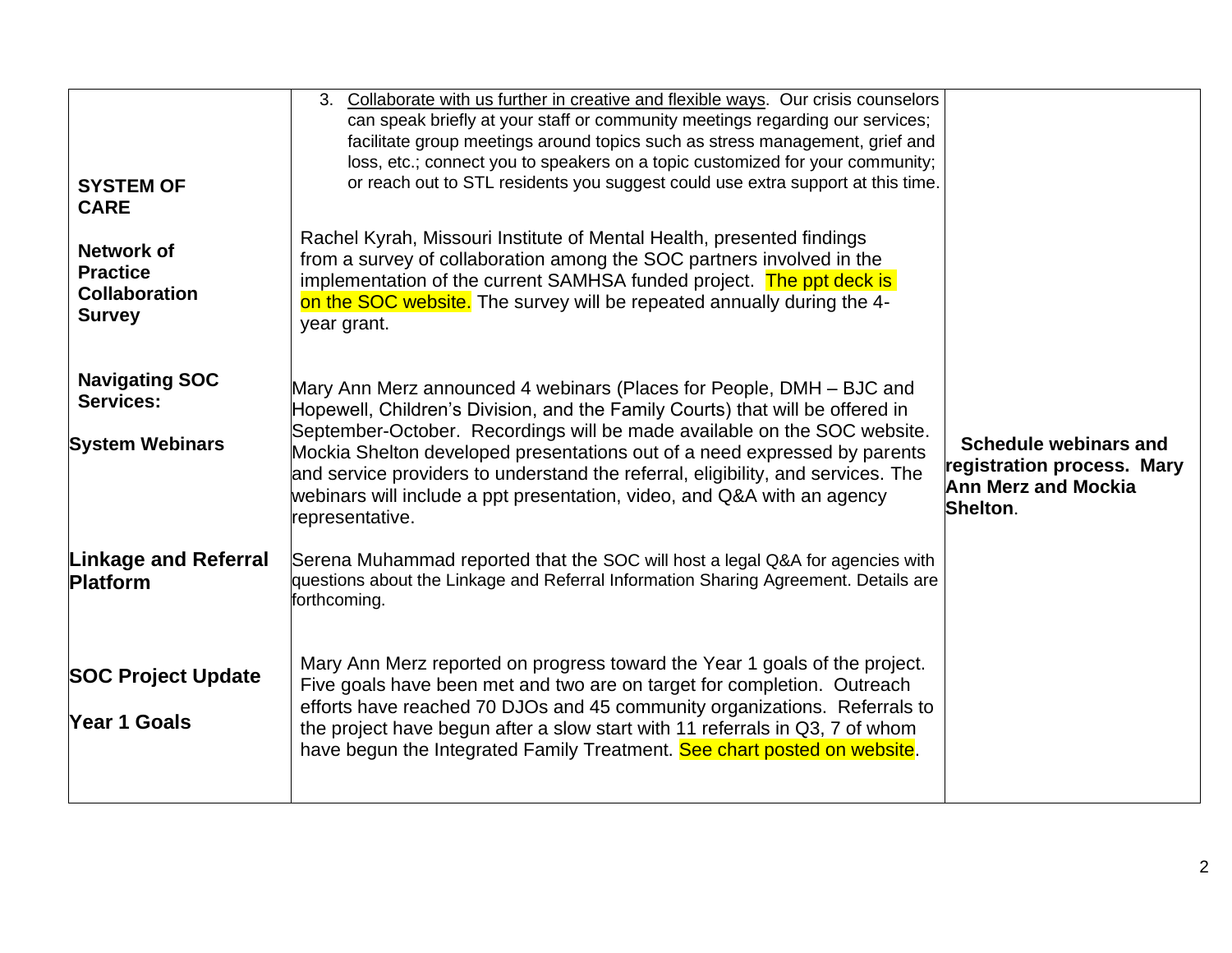| <b>SYSTEM OF</b><br><b>CARE</b><br><b>Network of</b><br><b>Practice</b><br><b>Collaboration</b><br><b>Survey</b> | Collaborate with us further in creative and flexible ways. Our crisis counselors<br>3.<br>can speak briefly at your staff or community meetings regarding our services;<br>facilitate group meetings around topics such as stress management, grief and<br>loss, etc.; connect you to speakers on a topic customized for your community;<br>or reach out to STL residents you suggest could use extra support at this time.<br>Rachel Kyrah, Missouri Institute of Mental Health, presented findings<br>from a survey of collaboration among the SOC partners involved in the<br>implementation of the current SAMHSA funded project. The ppt deck is<br>on the SOC website. The survey will be repeated annually during the 4-<br>year grant. |                                                                                               |
|------------------------------------------------------------------------------------------------------------------|------------------------------------------------------------------------------------------------------------------------------------------------------------------------------------------------------------------------------------------------------------------------------------------------------------------------------------------------------------------------------------------------------------------------------------------------------------------------------------------------------------------------------------------------------------------------------------------------------------------------------------------------------------------------------------------------------------------------------------------------|-----------------------------------------------------------------------------------------------|
| <b>Navigating SOC</b><br><b>Services:</b><br><b>System Webinars</b>                                              | Mary Ann Merz announced 4 webinars (Places for People, DMH – BJC and<br>Hopewell, Children's Division, and the Family Courts) that will be offered in<br>September-October. Recordings will be made available on the SOC website.<br>Mockia Shelton developed presentations out of a need expressed by parents<br>and service providers to understand the referral, eligibility, and services. The<br>webinars will include a ppt presentation, video, and Q&A with an agency<br>representative.                                                                                                                                                                                                                                               | Schedule webinars and<br>registration process. Mary<br><b>Ann Merz and Mockia</b><br>Shelton. |
| <b>Linkage and Referral</b><br><b>Platform</b>                                                                   | Serena Muhammad reported that the SOC will host a legal Q&A for agencies with<br>questions about the Linkage and Referral Information Sharing Agreement. Details are<br>forthcoming.                                                                                                                                                                                                                                                                                                                                                                                                                                                                                                                                                           |                                                                                               |
| <b>SOC Project Update</b><br>Year 1 Goals                                                                        | Mary Ann Merz reported on progress toward the Year 1 goals of the project.<br>Five goals have been met and two are on target for completion. Outreach<br>efforts have reached 70 DJOs and 45 community organizations. Referrals to<br>the project have begun after a slow start with 11 referrals in Q3, 7 of whom<br>have begun the Integrated Family Treatment. See chart posted on website.                                                                                                                                                                                                                                                                                                                                                 |                                                                                               |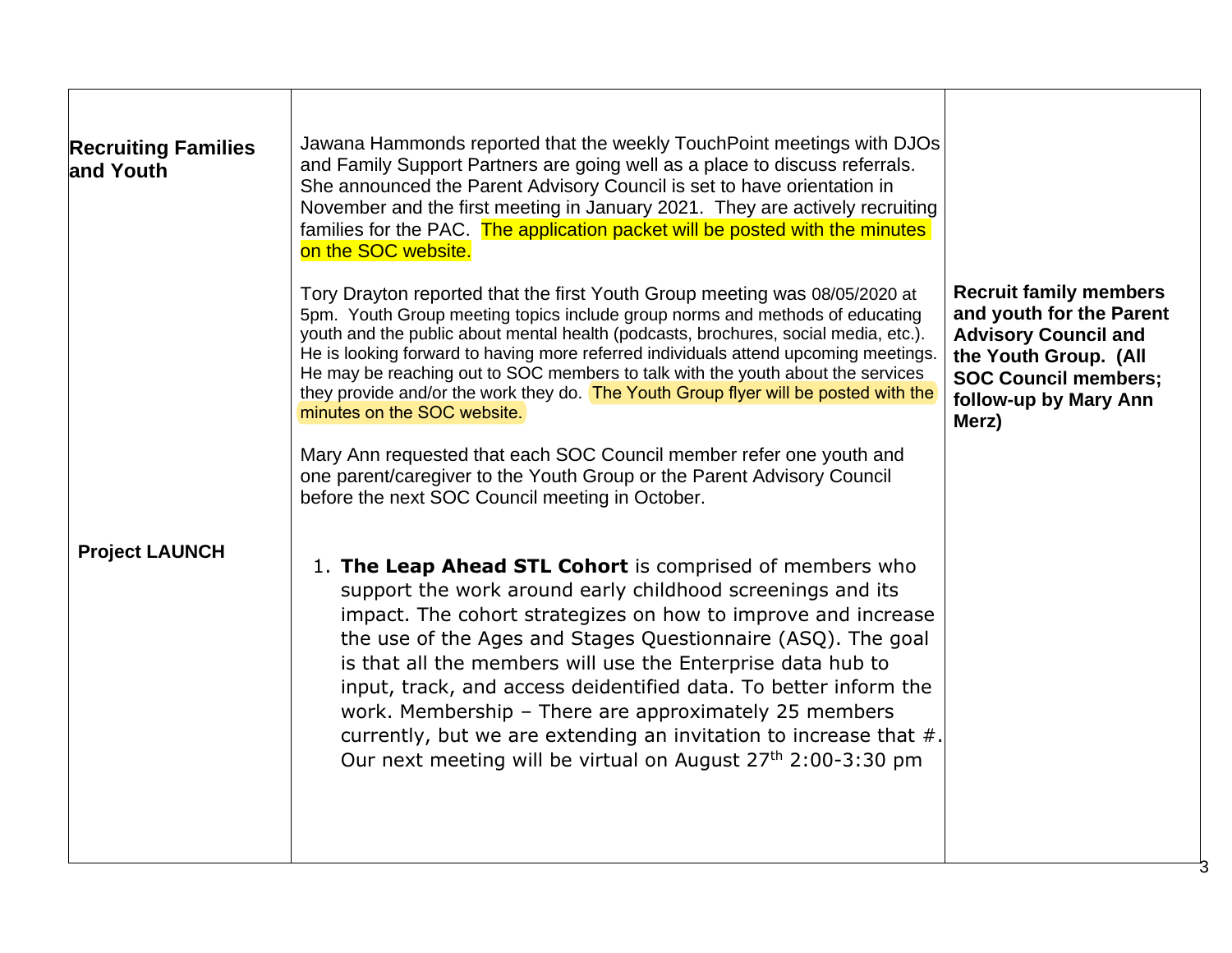| <b>Recruiting Families</b><br>and Youth | Jawana Hammonds reported that the weekly Touch Point meetings with DJOs<br>and Family Support Partners are going well as a place to discuss referrals.<br>She announced the Parent Advisory Council is set to have orientation in<br>November and the first meeting in January 2021. They are actively recruiting<br>families for the PAC. The application packet will be posted with the minutes<br>on the SOC website.                                                                                                                                                                                                                                                                                                                              |                                                                                                                                                                                    |
|-----------------------------------------|-------------------------------------------------------------------------------------------------------------------------------------------------------------------------------------------------------------------------------------------------------------------------------------------------------------------------------------------------------------------------------------------------------------------------------------------------------------------------------------------------------------------------------------------------------------------------------------------------------------------------------------------------------------------------------------------------------------------------------------------------------|------------------------------------------------------------------------------------------------------------------------------------------------------------------------------------|
|                                         | Tory Drayton reported that the first Youth Group meeting was 08/05/2020 at<br>5pm. Youth Group meeting topics include group norms and methods of educating<br>youth and the public about mental health (podcasts, brochures, social media, etc.).<br>He is looking forward to having more referred individuals attend upcoming meetings.<br>He may be reaching out to SOC members to talk with the youth about the services<br>they provide and/or the work they do. The Youth Group flyer will be posted with the<br>minutes on the SOC website.<br>Mary Ann requested that each SOC Council member refer one youth and<br>one parent/caregiver to the Youth Group or the Parent Advisory Council<br>before the next SOC Council meeting in October. | <b>Recruit family members</b><br>and youth for the Parent<br><b>Advisory Council and</b><br>the Youth Group. (All<br><b>SOC Council members;</b><br>follow-up by Mary Ann<br>Merz) |
| <b>Project LAUNCH</b>                   | 1. The Leap Ahead STL Cohort is comprised of members who<br>support the work around early childhood screenings and its<br>impact. The cohort strategizes on how to improve and increase<br>the use of the Ages and Stages Questionnaire (ASQ). The goal<br>is that all the members will use the Enterprise data hub to<br>input, track, and access deidentified data. To better inform the<br>work. Membership - There are approximately 25 members<br>currently, but we are extending an invitation to increase that #.<br>Our next meeting will be virtual on August 27 <sup>th</sup> 2:00-3:30 pm                                                                                                                                                  |                                                                                                                                                                                    |